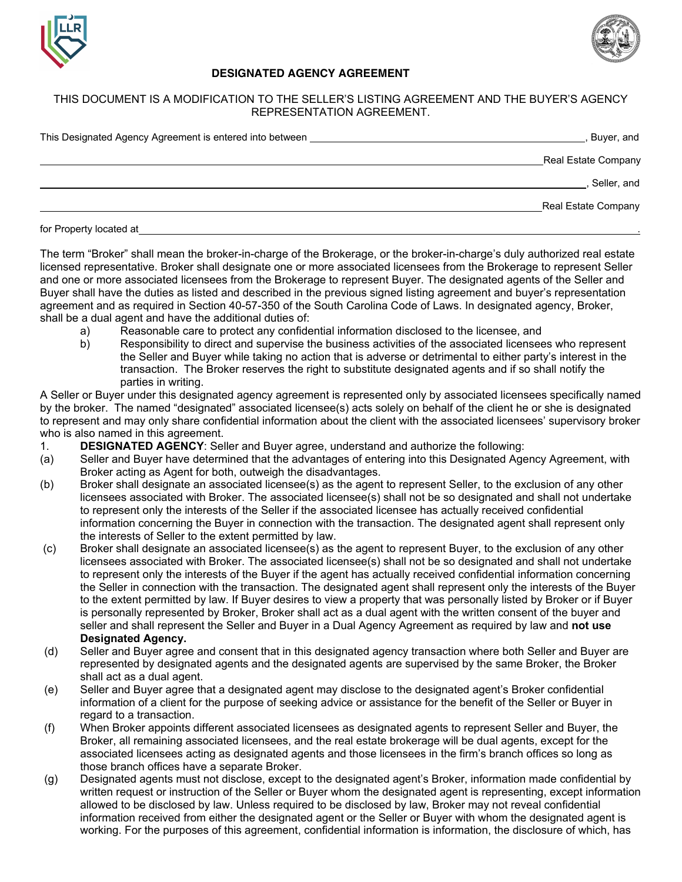



## **DESIGNATED AGENCY AGREEMENT**

## THIS DOCUMENT IS A MODIFICATION TO THE SELLER'S LISTING AGREEMENT AND THE BUYER'S AGENCY REPRESENTATION AGREEMENT.

| This Designated Agency Agreement is entered into between | Buyer, and          |
|----------------------------------------------------------|---------------------|
|                                                          | Real Estate Company |
|                                                          | Seller, and         |
|                                                          | Real Estate Company |
| .                                                        |                     |

for Property located at

The term "Broker" shall mean the broker-in-charge of the Brokerage, or the broker-in-charge's duly authorized real estate licensed representative. Broker shall designate one or more associated licensees from the Brokerage to represent Seller and one or more associated licensees from the Brokerage to represent Buyer. The designated agents of the Seller and Buyer shall have the duties as listed and described in the previous signed listing agreement and buyer's representation agreement and as required in Section 40-57-350 of the South Carolina Code of Laws. In designated agency, Broker, shall be a dual agent and have the additional duties of:

- a) Reasonable care to protect any confidential information disclosed to the licensee, and
- b) Responsibility to direct and supervise the business activities of the associated licensees who represent the Seller and Buyer while taking no action that is adverse or detrimental to either party's interest in the transaction. The Broker reserves the right to substitute designated agents and if so shall notify the parties in writing.

A Seller or Buyer under this designated agency agreement is represented only by associated licensees specifically named by the broker. The named "designated" associated licensee(s) acts solely on behalf of the client he or she is designated to represent and may only share confidential information about the client with the associated licensees' supervisory broker who is also named in this agreement.

- 1. **DESIGNATED AGENCY**: Seller and Buyer agree, understand and authorize the following:
- (a) Seller and Buyer have determined that the advantages of entering into this Designated Agency Agreement, with Broker acting as Agent for both, outweigh the disadvantages.
- (b) Broker shall designate an associated licensee(s) as the agent to represent Seller, to the exclusion of any other licensees associated with Broker. The associated licensee(s) shall not be so designated and shall not undertake to represent only the interests of the Seller if the associated licensee has actually received confidential information concerning the Buyer in connection with the transaction. The designated agent shall represent only the interests of Seller to the extent permitted by law.
- (c) Broker shall designate an associated licensee(s) as the agent to represent Buyer, to the exclusion of any other licensees associated with Broker. The associated licensee(s) shall not be so designated and shall not undertake to represent only the interests of the Buyer if the agent has actually received confidential information concerning the Seller in connection with the transaction. The designated agent shall represent only the interests of the Buyer to the extent permitted by law. If Buyer desires to view a property that was personally listed by Broker or if Buyer is personally represented by Broker, Broker shall act as a dual agent with the written consent of the buyer and seller and shall represent the Seller and Buyer in a Dual Agency Agreement as required by law and **not use Designated Agency.**
- (d) Seller and Buyer agree and consent that in this designated agency transaction where both Seller and Buyer are represented by designated agents and the designated agents are supervised by the same Broker, the Broker shall act as a dual agent.
- (e) Seller and Buyer agree that a designated agent may disclose to the designated agent's Broker confidential information of a client for the purpose of seeking advice or assistance for the benefit of the Seller or Buyer in regard to a transaction.
- (f) When Broker appoints different associated licensees as designated agents to represent Seller and Buyer, the Broker, all remaining associated licensees, and the real estate brokerage will be dual agents, except for the associated licensees acting as designated agents and those licensees in the firm's branch offices so long as those branch offices have a separate Broker.
- (g) Designated agents must not disclose, except to the designated agent's Broker, information made confidential by written request or instruction of the Seller or Buyer whom the designated agent is representing, except information allowed to be disclosed by law. Unless required to be disclosed by law, Broker may not reveal confidential information received from either the designated agent or the Seller or Buyer with whom the designated agent is working. For the purposes of this agreement, confidential information is information, the disclosure of which, has